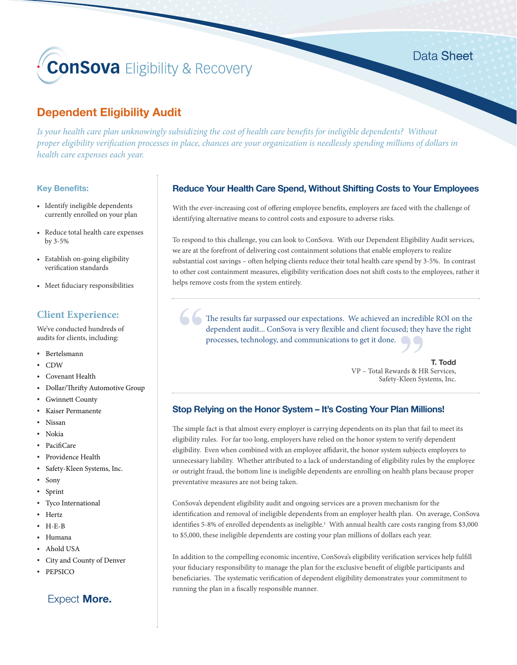# **ConSova** Eligibility & Recovery

# **Dependent Eligibility Audit**

*Is your health care plan unknowingly subsidizing the cost of health care benefits for ineligible dependents? Without proper eligibility verification processes in place, chances are your organization is needlessly spending millions of dollars in health care expenses each year.* 

## **Key Benefits:**

- Identify ineligible dependents currently enrolled on your plan
- Reduce total health care expenses by 3-5%
- Establish on-going eligibility verification standards
- Meet fiduciary responsibilities

# **Client Experience:**

We've conducted hundreds of audits for clients, including:

- Bertelsmann
- CDW
- Covenant Health
- Dollar/Thrifty Automotive Group
- Gwinnett County
- Kaiser Permanente
- Nissan
- Nokia
- PacifiCare
- Providence Health
- Safety-Kleen Systems, Inc.
- Sony
- Sprint
- Tyco International
- Hertz
- H-E-B
- Humana
- Ahold USA
- City and County of Denver
- PEPSICO

# Expect **More.**

# **Reduce Your Health Care Spend, Without Shifting Costs to Your Employees**

With the ever-increasing cost of offering employee benefits, employers are faced with the challenge of identifying alternative means to control costs and exposure to adverse risks.

To respond to this challenge, you can look to ConSova. With our Dependent Eligibility Audit services, we are at the forefront of delivering cost containment solutions that enable employers to realize substantial cost savings – often helping clients reduce their total health care spend by 3-5%. In contrast to other cost containment measures, eligibility verification does not shift costs to the employees, rather it helps remove costs from the system entirely.

**"** The results far surpassed our expectations. We achieved an incredible ROI on the dependent audit... ConSova is very flexible and client focused; they have the right processes, technology, and communications to get it done.

**" T. Todd** VP – Total Rewards & HR Services, Safety-Kleen Systems, Inc.

# **Stop Relying on the Honor System – It's Costing Your Plan Millions!**

The simple fact is that almost every employer is carrying dependents on its plan that fail to meet its eligibility rules. For far too long, employers have relied on the honor system to verify dependent eligibility. Even when combined with an employee affidavit, the honor system subjects employers to unnecessary liability. Whether attributed to a lack of understanding of eligibility rules by the employee or outright fraud, the bottom line is ineligible dependents are enrolling on health plans because proper preventative measures are not being taken.

ConSova's dependent eligibility audit and ongoing services are a proven mechanism for the identification and removal of ineligible dependents from an employer health plan. On average, ConSova identifies 5-8% of enrolled dependents as ineligible.<sup>1</sup> With annual health care costs ranging from \$3,000 to \$5,000, these ineligible dependents are costing your plan millions of dollars each year.

In addition to the compelling economic incentive, ConSova's eligibility verification services help fulfill your fiduciary responsibility to manage the plan for the exclusive benefit of eligible participants and beneficiaries. The systematic verification of dependent eligibility demonstrates your commitment to running the plan in a fiscally responsible manner.

Data Sheet